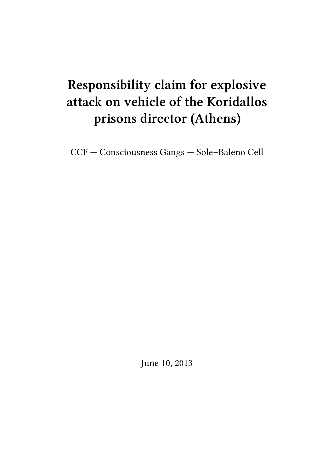# **Responsibility claim for explosive attack on vehicle of the Koridallos prisons director (Athens)**

CCF — Consciousness Gangs — Sole–Baleno Cell

June 10, 2013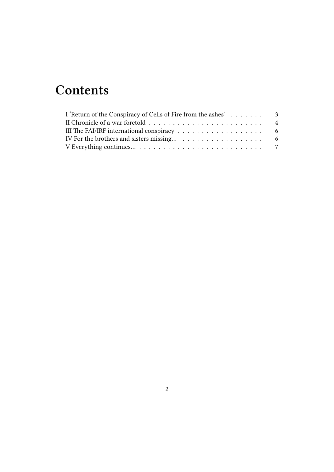## **Contents**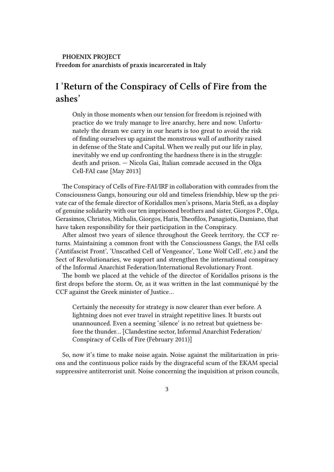#### **PHOENIX PROJECT Freedom for anarchists of praxis incarcerated in Italy**

### <span id="page-2-0"></span>**I 'Return of the Conspiracy of Cells of Fire from the ashes'**

Only in those moments when our tension for freedom is rejoined with practice do we truly manage to live anarchy, here and now. Unfortunately the dream we carry in our hearts is too great to avoid the risk of finding ourselves up against the monstrous wall of authority raised in defense of the State and Capital. When we really put our life in play, inevitably we end up confronting the hardness there is in the struggle: death and prison. — Nicola Gai, Italian comrade accused in the Olga Cell-FAI case [May 2013]

The Conspiracy of Cells of Fire-FAI/IRF in collaboration with comrades from the Consciousness Gangs, honouring our old and timeless friendship, blew up the private car of the female director of Koridallos men's prisons, Maria Stefi, as a display of genuine solidarity with our ten imprisoned brothers and sister, Giorgos P., Olga, Gerasimos, Christos, Michalis, Giorgos, Haris, Theofilos, Panagiotis, Damiano, that have taken responsibility for their participation in the Conspiracy.

After almost two years of silence throughout the Greek territory, the CCF returns. Maintaining a common front with the Consciousness Gangs, the FAI cells ('Antifascist Front', 'Unscathed Cell of Vengeance', 'Lone Wolf Cell', etc.) and the Sect of Revolutionaries, we support and strengthen the international conspiracy of the Informal Anarchist Federation/International Revolutionary Front.

The bomb we placed at the vehicle of the director of Koridallos prisons is the first drops before the storm. Or, as it was written in the last communiqué by the CCF against the Greek minister of Justice…

Certainly the necessity for strategy is now clearer than ever before. A lightning does not ever travel in straight repetitive lines. It bursts out unannounced. Even a seeming 'silence' is no retreat but quietness before the thunder… [Clandestine sector, Informal Anarchist Federation/ Conspiracy of Cells of Fire (February 2011)]

So, now it's time to make noise again. Noise against the militarization in prisons and the continuous police raids by the disgraceful scum of the EKAM special suppressive antiterrorist unit. Noise concerning the inquisition at prison councils,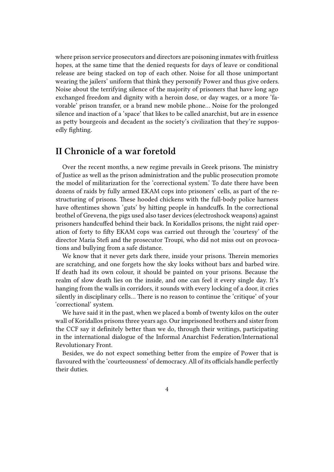where prison service prosecutors and directors are poisoning inmates with fruitless hopes, at the same time that the denied requests for days of leave or conditional release are being stacked on top of each other. Noise for all those unimportant wearing the jailers' uniform that think they personify Power and thus give orders. Noise about the terrifying silence of the majority of prisoners that have long ago exchanged freedom and dignity with a heroin dose, or day wages, or a more 'favorable' prison transfer, or a brand new mobile phone… Noise for the prolonged silence and inaction of a 'space' that likes to be called anarchist, but are in essence as petty bourgeois and decadent as the society's civilization that they're supposedly fighting.

#### <span id="page-3-0"></span>**II Chronicle of a war foretold**

Over the recent months, a new regime prevails in Greek prisons. The ministry of Justice as well as the prison administration and the public prosecution promote the model of militarization for the 'correctional system.' To date there have been dozens of raids by fully armed EKAM cops into prisoners' cells, as part of the restructuring of prisons. These hooded chickens with the full-body police harness have oftentimes shown 'guts' by hitting people in handcuffs. In the correctional brothel of Grevena, the pigs used also taser devices (electroshock weapons) against prisoners handcuffed behind their back. In Koridallos prisons, the night raid operation of forty to fifty EKAM cops was carried out through the 'courtesy' of the director Maria Stefi and the prosecutor Troupi, who did not miss out on provocations and bullying from a safe distance.

We know that it never gets dark there, inside your prisons. Therein memories are scratching, and one forgets how the sky looks without bars and barbed wire. If death had its own colour, it should be painted on your prisons. Because the realm of slow death lies on the inside, and one can feel it every single day. It's hanging from the walls in corridors, it sounds with every locking of a door, it cries silently in disciplinary cells… There is no reason to continue the 'critique' of your 'correctional' system.

We have said it in the past, when we placed a bomb of twenty kilos on the outer wall of Koridallos prisons three years ago. Our imprisoned brothers and sister from the CCF say it definitely better than we do, through their writings, participating in the international dialogue of the Informal Anarchist Federation/International Revolutionary Front.

Besides, we do not expect something better from the empire of Power that is flavoured with the 'courteousness' of democracy. All of its officials handle perfectly their duties.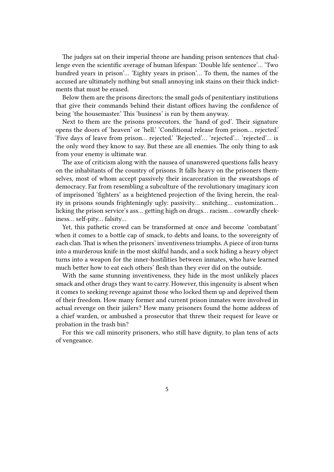The judges sat on their imperial throne are handing prison sentences that challenge even the scientific average of human lifespan: 'Double life sentence'… 'Two hundred years in prison'… 'Eighty years in prison'… To them, the names of the accused are ultimately nothing but small annoying ink stains on their thick indictments that must be erased.

Below them are the prisons directors; the small gods of penitentiary institutions that give their commands behind their distant offices having the confidence of being 'the housemaster.' This 'business' is run by them anyway.

Next to them are the prisons prosecutors, the 'hand of god'. Their signature opens the doors of 'heaven' or 'hell.' 'Conditional release from prison… rejected.' 'Five days of leave from prison... rejected.' 'Rejected'... 'rejected'... 'rejected'... is the only word they know to say. But these are all enemies. The only thing to ask from your enemy is ultimate war.

The axe of criticism along with the nausea of unanswered questions falls heavy on the inhabitants of the country of prisons. It falls heavy on the prisoners themselves, most of whom accept passively their incarceration in the sweatshops of democracy. Far from resembling a subculture of the revolutionary imaginary icon of imprisoned 'fighters' as a heightened projection of the living herein, the reality in prisons sounds frighteningly ugly: passivity… snitching… customization… licking the prison service's ass… getting high on drugs… racism… cowardly cheekiness… self-pity… falsity…

Yet, this pathetic crowd can be transformed at once and become 'combatant' when it comes to a bottle cap of smack, to debts and loans, to the sovereignty of each clan. That is when the prisoners' inventiveness triumphs. A piece of iron turns into a murderous knife in the most skilful hands, and a sock hiding a heavy object turns into a weapon for the inner-hostilities between inmates, who have learned much better how to eat each others' flesh than they ever did on the outside.

With the same stunning inventiveness, they hide in the most unlikely places smack and other drugs they want to carry. However, this ingenuity is absent when it comes to seeking revenge against those who locked them up and deprived them of their freedom. How many former and current prison inmates were involved in actual revenge on their jailers? How many prisoners found the home address of a chief warden, or ambushed a prosecutor that threw their request for leave or probation in the trash bin?

For this we call minority prisoners, who still have dignity, to plan tens of acts of vengeance.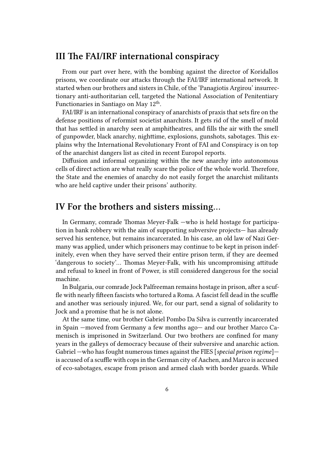#### **III The FAI/IRF international conspiracy**

From our part over here, with the bombing against the director of Koridallos prisons, we coordinate our attacks through the FAI/IRF international network. It started when our brothers and sisters in Chile, of the 'Panagiotis Argirou' insurrectionary anti-authoritarian cell, targeted the National Association of Penitentiary Functionaries in Santiago on May  $12^{\text{th}}$ .

FAI/IRF is an international conspiracy of anarchists of praxis that sets fire on the defense positions of reformist societist anarchists. It gets rid of the smell of mold that has settled in anarchy seen at amphitheatres, and fills the air with the smell of gunpowder, black anarchy, nighttime, explosions, gunshots, sabotages. This explains why the International Revolutionary Front of FAI and Conspiracy is on top of the anarchist dangers list as cited in recent Europol reports.

Diffusion and informal organizing within the new anarchy into autonomous cells of direct action are what really scare the police of the whole world. Therefore, the State and the enemies of anarchy do not easily forget the anarchist militants who are held captive under their prisons' authority.

#### **IV For the brothers and sisters missing…**

In Germany, comrade Thomas Meyer-Falk —who is held hostage for participation in bank robbery with the aim of supporting subversive projects— has already served his sentence, but remains incarcerated. In his case, an old law of Nazi Germany was applied, under which prisoners may continue to be kept in prison indefinitely, even when they have served their entire prison term, if they are deemed 'dangerous to society'… Thomas Meyer-Falk, with his uncompromising attitude and refusal to kneel in front of Power, is still considered dangerous for the social machine.

In Bulgaria, our comrade Jock Palfreeman remains hostage in prison, after a scuffle with nearly fifteen fascists who tortured a Roma. A fascist fell dead in the scuffle and another was seriously injured. We, for our part, send a signal of solidarity to Jock and a promise that he is not alone.

At the same time, our brother Gabriel Pombo Da Silva is currently incarcerated in Spain —moved from Germany a few months ago— and our brother Marco Camenisch is imprisoned in Switzerland. Our two brothers are confined for many years in the galleys of democracy because of their subversive and anarchic action. Gabriel —who has fought numerous times against the FIES [*special prison regime*] is accused of a scuffle with cops in the German city of Aachen, and Marco is accused of eco-sabotages, escape from prison and armed clash with border guards. While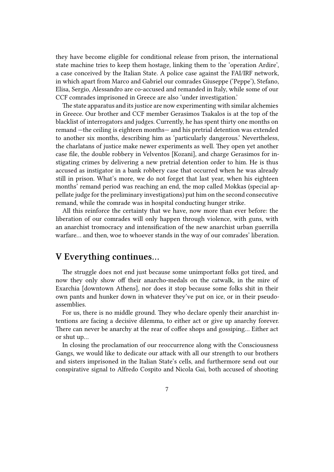they have become eligible for conditional release from prison, the international state machine tries to keep them hostage, linking them to the 'operation Ardire', a case conceived by the Italian State. A police case against the FAI/IRF network, in which apart from Marco and Gabriel our comrades Giuseppe ('Peppe'), Stefano, Elisa, Sergio, Alessandro are co-accused and remanded in Italy, while some of our CCF comrades imprisoned in Greece are also 'under investigation.'

The state apparatus and its justice are now experimenting with similar alchemies in Greece. Our brother and CCF member Gerasimos Tsakalos is at the top of the blacklist of interrogators and judges. Currently, he has spent thirty one months on remand —the ceiling is eighteen months— and his pretrial detention was extended to another six months, describing him as 'particularly dangerous.' Nevertheless, the charlatans of justice make newer experiments as well. They open yet another case file, the double robbery in Velventos [Kozani], and charge Gerasimos for instigating crimes by delivering a new pretrial detention order to him. He is thus accused as instigator in a bank robbery case that occurred when he was already still in prison. What's more, we do not forget that last year, when his eighteen months' remand period was reaching an end, the mop called Mokkas (special appellate judge for the preliminary investigations) put him on the second consecutive remand, while the comrade was in hospital conducting hunger strike.

All this reinforce the certainty that we have, now more than ever before: the liberation of our comrades will only happen through violence, with guns, with an anarchist tromocracy and intensification of the new anarchist urban guerrilla warfare… and then, woe to whoever stands in the way of our comrades' liberation.

#### **V Everything continues…**

The struggle does not end just because some unimportant folks got tired, and now they only show off their anarcho-medals on the catwalk, in the mire of Exarchia [downtown Athens], nor does it stop because some folks shit in their own pants and hunker down in whatever they've put on ice, or in their pseudoassemblies.

For us, there is no middle ground. They who declare openly their anarchist intentions are facing a decisive dilemma, to either act or give up anarchy forever. There can never be anarchy at the rear of coffee shops and gossiping… Either act or shut up…

In closing the proclamation of our reoccurrence along with the Consciousness Gangs, we would like to dedicate our attack with all our strength to our brothers and sisters imprisoned in the Italian State's cells, and furthermore send out our conspirative signal to Alfredo Cospito and Nicola Gai, both accused of shooting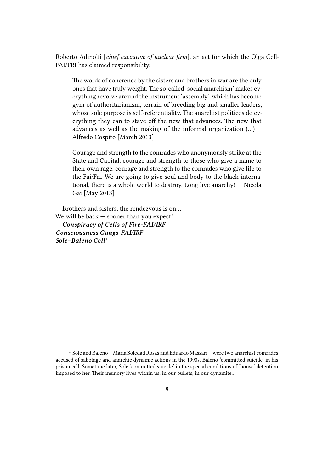Roberto Adinolfi [*chief executive of nuclear firm*], an act for which the Olga Cell-FAI/FRI has claimed responsibility.

The words of coherence by the sisters and brothers in war are the only ones that have truly weight. The so-called 'social anarchism' makes everything revolve around the instrument 'assembly', which has become gym of authoritarianism, terrain of breeding big and smaller leaders, whose sole purpose is self-referentiality. The anarchist politicos do everything they can to stave off the new that advances. The new that advances as well as the making of the informal organization  $(...)$  – Alfredo Cospito [March 2013]

Courage and strength to the comrades who anonymously strike at the State and Capital, courage and strength to those who give a name to their own rage, courage and strength to the comrades who give life to the Fai/Fri. We are going to give soul and body to the black international, there is a whole world to destroy. Long live anarchy! — Nicola Gai [May 2013]

Brothers and sisters, the rendezvous is on… We will be back — sooner than you expect! *Conspiracy of Cells of Fire-FAI/IRF Consciousness Gangs-FAI/IRF Sole–Baleno Cell*<sup>1</sup>

 $1$  Sole and Baleno  $-M$ aria Soledad Rosas and Eduardo Massari $-$  were two anarchist comrades accused of sabotage and anarchic dynamic actions in the 1990s. Baleno 'committed suicide' in his prison cell. Sometime later, Sole 'committed suicide' in the special conditions of 'house' detention imposed to her. Their memory lives within us, in our bullets, in our dynamite…